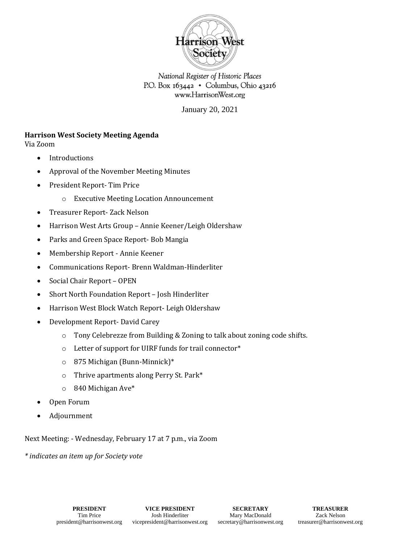

National Register of Historic Places P.O. Box 163442 • Columbus, Ohio 43216 www.HarrisonWest.org

January 20, 2021

### **Harrison West Society Meeting Agenda**

Via Zoom

- Introductions
- Approval of the November Meeting Minutes
- President Report- Tim Price
	- o Executive Meeting Location Announcement
- Treasurer Report- Zack Nelson
- Harrison West Arts Group Annie Keener/Leigh Oldershaw
- Parks and Green Space Report- Bob Mangia
- Membership Report Annie Keener
- Communications Report- Brenn Waldman-Hinderliter
- Social Chair Report OPEN
- Short North Foundation Report Josh Hinderliter
- Harrison West Block Watch Report- Leigh Oldershaw
- Development Report- David Carey
	- o Tony Celebrezze from Building & Zoning to talk about zoning code shifts.
	- o Letter of support for UIRF funds for trail connector\*
	- o 875 Michigan (Bunn-Minnick)\*
	- o Thrive apartments along Perry St. Park\*
	- o 840 Michigan Ave\*
- Open Forum
- Adjournment

Next Meeting: - Wednesday, February 17 at 7 p.m., via Zoom

*\* indicates an item up for Society vote*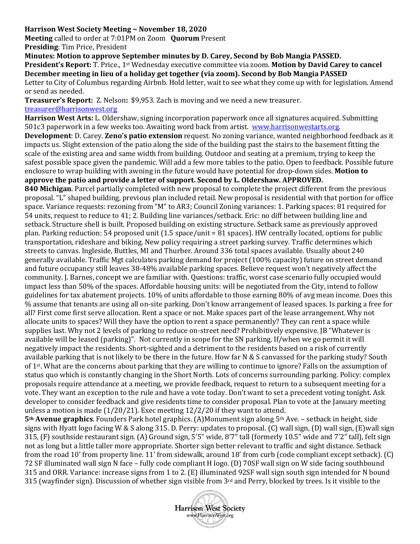### **Harrison West Society Meeting ~ November 18, 2020**

**Meeting** called to order at 7:01PM on Zoom **Quorum** Present

**Presiding**: Tim Price, President

**Minutes: Motion to approve September minutes by D. Carey, Second by Bob Mangia PASSED. President's Report:** T. Price., 1st Wednesday executive committee via zoom. **Motion by David Carey to cancel December meeting in lieu of a holiday get together (via zoom). Second by Bob Mangia PASSED**  Letter to City of Columbus regarding Airbnb. Hold letter, wait to see what they come up with for legislation. Amend or send as needed.

**Treasurer's Report:** Z. Nelson**:** \$9,953. Zach is moving and we need a new treasurer. [treasurer@harrisonwest.org](mailto:treasurer@harrisonwest.org)

**Harrison West Arts:** L. Oldershaw, signing incorporation paperwork once all signatures acquired. Submitting 501c3 paperwork in a few weeks too. Awaiting word back from artist. [www.harrisonwestarts.org.](http://www.harrisonwestarts.org/) 

**Development**: D. Carey. **Zeno's patio extension** request. No zoning variance, wanted neighborhood feedback as it impacts us. Slight extension of the patio along the side of the building past the stairs to the basement fitting the scale of the existing area and same width from building. Outdoor and seating at a premium, trying to keep the safest possible space given the pandemic. Will add a few more tables to the patio. Open to feedback. Possible future enclosure to wrap building with awning in the future would have potential for drop-down sides. **Motion to approve the patio and provide a letter of support. Second by L. Oldershaw. APPROVED.**

**840 Michigan**. Parcel partially completed with new proposal to complete the project different from the previous proposal. "L" shaped building, previous plan included retail. New proposal is residential with that portion for office space. Variance requests: rezoning from "M" to AR3; Council Zoning variances: 1. Parking spaces: 81 required for 54 units, request to reduce to 41; 2. Building line variances/setback. Eric: no diff between building line and setback. Structure shell is built. Proposed building on existing structure. Setback same as previously approved plan. Parking reduction: 54 proposed unit (1.5 space/unit = 81 spaces). HW centrally located, options for public transportation, rideshare and biking. New policy requiring a street parking survey. Traffic determines which streets to canvas. Ingleside, Buttles, MI and Thurber. Around 336 total spaces available. Usually about 240 generally available. Traffic Mgt calculates parking demand for project (100% capacity) future on street demand and future occupancy still leaves 38-48% available parking spaces. Believe request won't negatively affect the community. J. Barnes, concept we are familiar with. Questions: traffic, worst case scenario fully occupied would impact less than 50% of the spaces. Affordable housing units: will be negotiated from the City, intend to follow guidelines for tax abatement projects. 10% of units affordable to those earning 80% of avg mean income. Does this % assume that tenants are using all on-site parking. Don't know arrangement of leased spaces. Is parking a free for all? First come first serve allocation. Rent a space or not. Make spaces part of the lease arrangement. Why not allocate units to spaces? Will they have the option to rent a space permanently? They can rent a space while supplies last. Why not 2 levels of parking to reduce on-street need? Prohibitively expensive. JB "Whatever is available will be leased (parking)". Not currently in scope for the SN parking. If/when we go permit it will negatively impact the residents. Short-sighted and a detriment to the residents based on a risk of currently available parking that is not likely to be there in the future. How far N & S canvassed for the parking study? South of 1st. What are the concerns about parking that they are willing to continue to ignore? Falls on the assumption of status quo which is constantly changing in the Short North. Lots of concerns surrounding parking. Policy: complex proposals require attendance at a meeting, we provide feedback, request to return to a subsequent meeting for a vote. They want an exception to the rule and have a vote today. Don't want to set a precedent voting tonight. Ask developer to consider feedback and give residents time to consider proposal. Plan to vote at the January meeting unless a motion is made (1/20/21). Exec meeting 12/2/20 if they want to attend.

**5th Avenue graphics**. Founders Park hotel graphics. (A)Monument sign along 5th Ave. – setback in height, side signs with Hyatt logo facing W & S along 315. D. Perry: updates to proposal. (C) wall sign, (D) wall sign, (E)wall sign 315, (F) southside restaurant sign. (A) Ground sign, 5'5" wide, 8'7" tall (formerly 10.5" wide and 7'2" tall), felt sign not as long but a little taller more appropriate. Shorter sign better relevant to traffic and sight distance. Setback from the road 10' from property line. 11' from sidewalk, around 18' from curb (code compliant except setback). (C) 72 SF illuminated wall sign N face – fully code compliant H logo. (D) 70SF wall sign on W side facing southbound 315 and ORR. Variance: increase signs from 1 to 2. (E) illuminated 92SF wall sign south sign intended for N bound 315 (wayfinder sign). Discussion of whether sign visible from 3rd and Perry, blocked by trees. Is it visible to the

**Harrison West Society** www.HarrisonWest.org